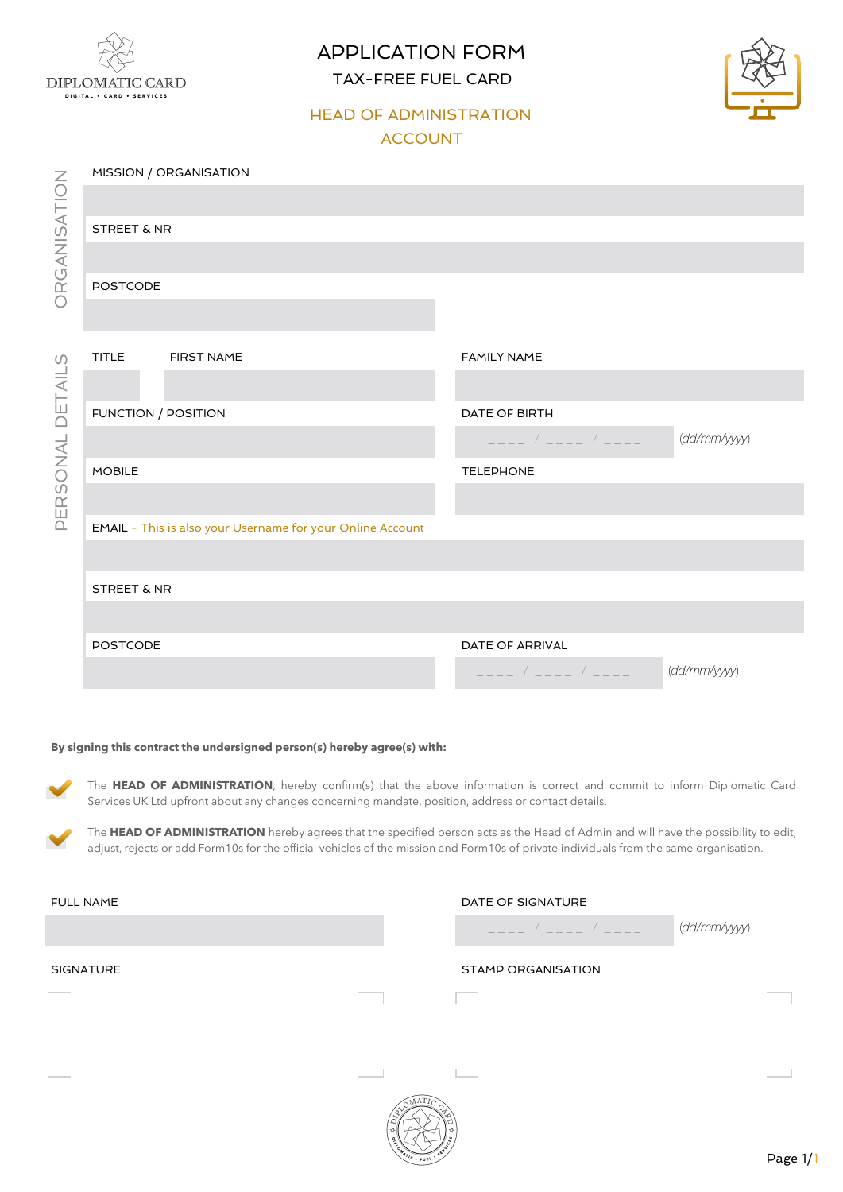

APPLICATION FORM TAX-FREE FUEL CARD



### HEAD OF ADMINISTRATION ACCOUNT

|                    | MISSION / ORGANISATION                                     |            |                                         |              |  |  |
|--------------------|------------------------------------------------------------|------------|-----------------------------------------|--------------|--|--|
| ORGANISATION       |                                                            |            |                                         |              |  |  |
|                    | <b>STREET &amp; NR</b>                                     |            |                                         |              |  |  |
|                    |                                                            |            |                                         |              |  |  |
|                    | <b>POSTCODE</b>                                            |            |                                         |              |  |  |
|                    |                                                            |            |                                         |              |  |  |
| $\cup$             | <b>TITLE</b>                                               | FIRST NAME | <b>FAMILY NAME</b>                      |              |  |  |
|                    |                                                            |            |                                         |              |  |  |
| DETAIL<br>PERSONAL |                                                            |            | DATE OF BIRTH                           |              |  |  |
|                    | FUNCTION / POSITION                                        |            | $\frac{1}{2}$                           | (dd/mm/yyyy) |  |  |
|                    | <b>MOBILE</b>                                              |            | TELEPHONE                               |              |  |  |
|                    |                                                            |            |                                         |              |  |  |
|                    | EMAIL - This is also your Username for your Online Account |            |                                         |              |  |  |
|                    |                                                            |            |                                         |              |  |  |
|                    | <b>STREET &amp; NR</b>                                     |            |                                         |              |  |  |
|                    |                                                            |            |                                         |              |  |  |
|                    | <b>POSTCODE</b>                                            |            | DATE OF ARRIVAL                         |              |  |  |
|                    |                                                            |            | $\mathcal{L} = \mathcal{L} \mathcal{L}$ | (dd/mm/yyyy) |  |  |
|                    |                                                            |            |                                         |              |  |  |

#### **By signing this contract the undersigned person(s) hereby agree(s) with:**

The HEAD OF ADMINISTRATION, hereby confirm(s) that the above information is correct and commit to inform Diplomatic Card Services UK Ltd upfront about any changes concerning mandate, position, address or contact details.

The **HEAD OF ADMINISTRATION** hereby agrees that the specified person acts as the Head of Admin and will have the possibility to edit, adjust, rejects or add Form10s for the official vehicles of the mission and Form10s of private individuals from the same organisation.

| <b>FULL NAME</b> | DATE OF SIGNATURE  |              |
|------------------|--------------------|--------------|
|                  |                    | (dd/mm/yyyy) |
| <b>SIGNATURE</b> | STAMP ORGANISATION |              |
|                  |                    |              |
|                  |                    |              |
|                  |                    |              |

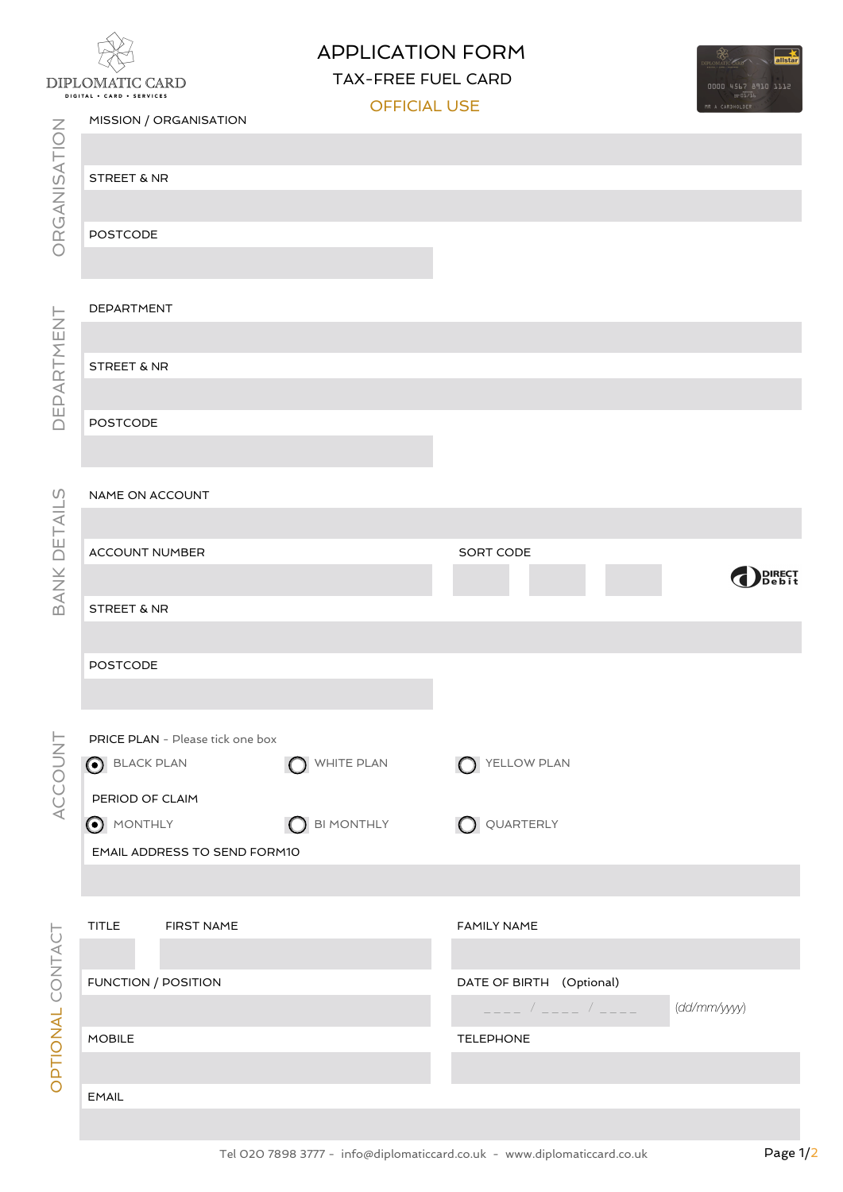# DIPLOMATIC CARD DIGITAL . CARD . SERVICES

## APPLICATION FORM

TAX-FREE FUEL CARD



|                  |                                                                                                                                                                                                      |                     | <b>OFFICIAL USE</b><br>MR A CARDHOLDER |                 |  |
|------------------|------------------------------------------------------------------------------------------------------------------------------------------------------------------------------------------------------|---------------------|----------------------------------------|-----------------|--|
|                  | MISSION / ORGANISATION                                                                                                                                                                               |                     |                                        |                 |  |
|                  |                                                                                                                                                                                                      |                     |                                        |                 |  |
|                  |                                                                                                                                                                                                      |                     |                                        |                 |  |
|                  | <b>STREET &amp; NR</b>                                                                                                                                                                               |                     |                                        |                 |  |
|                  |                                                                                                                                                                                                      |                     |                                        |                 |  |
| ORGANISATION     | <b>POSTCODE</b>                                                                                                                                                                                      |                     |                                        |                 |  |
|                  |                                                                                                                                                                                                      |                     |                                        |                 |  |
|                  |                                                                                                                                                                                                      |                     |                                        |                 |  |
|                  |                                                                                                                                                                                                      |                     |                                        |                 |  |
|                  | DEPARTMENT                                                                                                                                                                                           |                     |                                        |                 |  |
|                  |                                                                                                                                                                                                      |                     |                                        |                 |  |
|                  | STREET & NR                                                                                                                                                                                          |                     |                                        |                 |  |
| DEPARTMENT       |                                                                                                                                                                                                      |                     |                                        |                 |  |
|                  |                                                                                                                                                                                                      |                     |                                        |                 |  |
|                  | <b>POSTCODE</b>                                                                                                                                                                                      |                     |                                        |                 |  |
|                  |                                                                                                                                                                                                      |                     |                                        |                 |  |
|                  |                                                                                                                                                                                                      |                     |                                        |                 |  |
|                  | NAME ON ACCOUNT                                                                                                                                                                                      |                     |                                        |                 |  |
| BANK DETAILS     |                                                                                                                                                                                                      |                     |                                        |                 |  |
|                  |                                                                                                                                                                                                      |                     |                                        |                 |  |
|                  | ACCOUNT NUMBER                                                                                                                                                                                       |                     | SORT CODE                              |                 |  |
|                  |                                                                                                                                                                                                      |                     |                                        | DIRECT<br>Debit |  |
|                  | STREET & NR                                                                                                                                                                                          |                     |                                        |                 |  |
|                  |                                                                                                                                                                                                      |                     |                                        |                 |  |
|                  |                                                                                                                                                                                                      |                     |                                        |                 |  |
|                  | <b>POSTCODE</b>                                                                                                                                                                                      |                     |                                        |                 |  |
|                  |                                                                                                                                                                                                      |                     |                                        |                 |  |
|                  |                                                                                                                                                                                                      |                     |                                        |                 |  |
|                  | PRICE PLAN - Please tick one box                                                                                                                                                                     |                     |                                        |                 |  |
|                  | <b>BLACK PLAN</b>                                                                                                                                                                                    | WHITE PLAN          | YELLOW PLAN                            |                 |  |
|                  |                                                                                                                                                                                                      |                     |                                        |                 |  |
| ACCOUNT          | PERIOD OF CLAIM                                                                                                                                                                                      |                     |                                        |                 |  |
|                  | MONTHLY                                                                                                                                                                                              | <b>O</b> BI MONTHLY | Q QUARTERLY                            |                 |  |
|                  | EMAIL ADDRESS TO SEND FORM10                                                                                                                                                                         |                     |                                        |                 |  |
|                  |                                                                                                                                                                                                      |                     |                                        |                 |  |
|                  |                                                                                                                                                                                                      |                     |                                        |                 |  |
|                  | $\ensuremath{\mathsf{T}}\xspace\ensuremath{\mathsf{T}}\xspace\ensuremath{\mathsf{T}}\xspace\ensuremath{\mathsf{T}}\xspace\ensuremath{\mathsf{L}}\xspace\ensuremath{\mathsf{E}}\xspace$<br>FIRST NAME |                     | <b>FAMILY NAME</b>                     |                 |  |
|                  |                                                                                                                                                                                                      |                     |                                        |                 |  |
|                  |                                                                                                                                                                                                      |                     |                                        |                 |  |
| OPTIONAL CONTACT | FUNCTION / POSITION                                                                                                                                                                                  |                     | DATE OF BIRTH (Optional)               |                 |  |
|                  |                                                                                                                                                                                                      |                     |                                        | (dd/mm/yyy)     |  |
|                  |                                                                                                                                                                                                      |                     |                                        |                 |  |
|                  | <b>MOBILE</b>                                                                                                                                                                                        |                     | <b>TELEPHONE</b>                       |                 |  |
|                  |                                                                                                                                                                                                      |                     |                                        |                 |  |
|                  |                                                                                                                                                                                                      |                     |                                        |                 |  |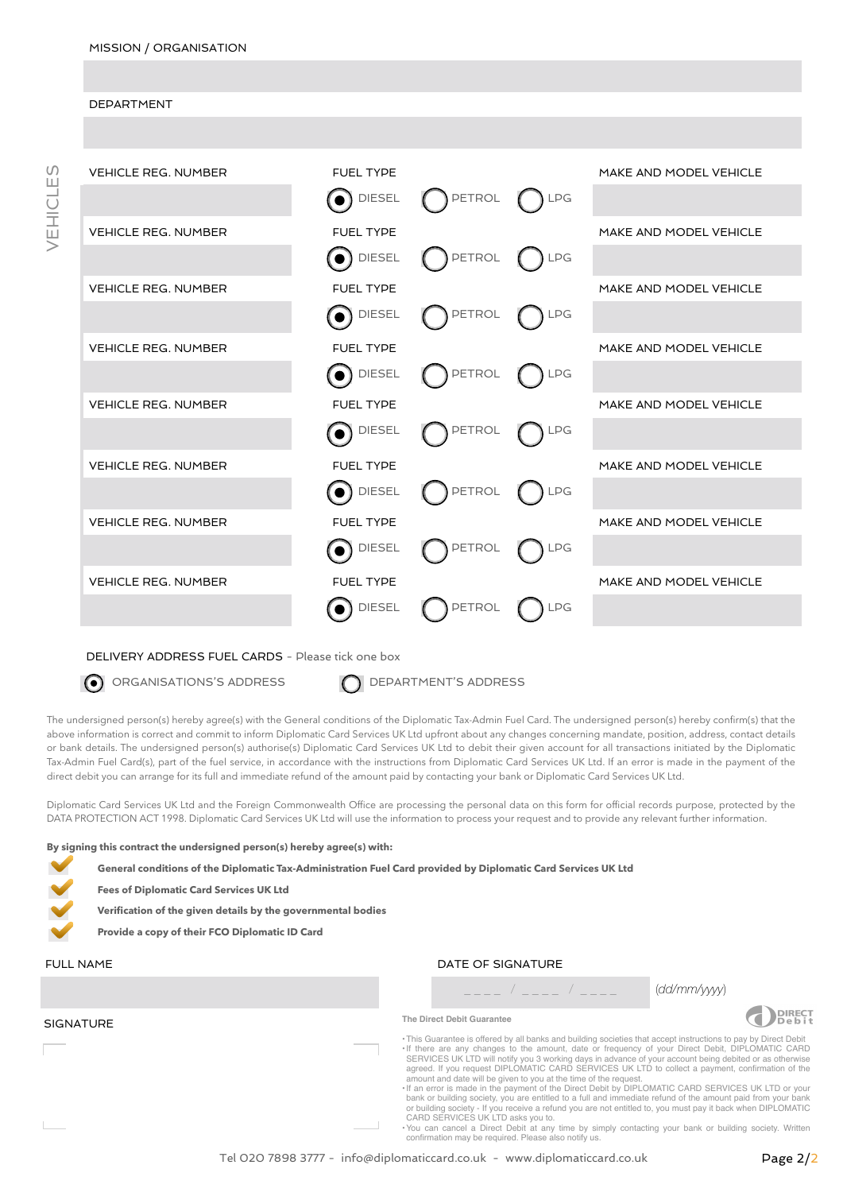#### **DEPARTMENT**



#### DELIVERY ADDRESS FUEL CARDS - Please tick one box

O ORGANISATIONS'S ADDRESS **DEPARTMENT'S ADDRESS** 

The undersigned person(s) hereby agree(s) with the General conditions of the Diplomatic Tax-Admin Fuel Card. The undersigned person(s) hereby confirm(s) that the above information is correct and commit to inform Diplomatic Card Services UK Ltd upfront about any changes concerning mandate, position, address, contact details or bank details. The undersigned person(s) authorise(s) Diplomatic Card Services UK Ltd to debit their given account for all transactions initiated by the Diplomatic Tax-Admin Fuel Card(s), part of the fuel service, in accordance with the instructions from Diplomatic Card Services UK Ltd. If an error is made in the payment of the direct debit you can arrange for its full and immediate refund of the amount paid by contacting your bank or Diplomatic Card Services UK Ltd.

Diplomatic Card Services UK Ltd and the Foreign Commonwealth Office are processing the personal data on this form for official records purpose, protected by the DATA PROTECTION ACT 1998. Diplomatic Card Services UK Ltd will use the information to process your request and to provide any relevant further information.

**By signing this contract the undersigned person(s) hereby agree(s) with:**

**General conditions of the Diplomatic Tax-Administration Fuel Card provided by Diplomatic Card Services UK Ltd** 

**Fees of Diplomatic Card Services UK Ltd** 

**Verification of the given details by the governmental bodies** 

**Provide a copy of their FCO Diplomatic ID Card**

**SIGNATURE** 

### FULL NAME **DATE OF SIGNATURE**

\_ \_ \_ \_ / \_ \_ \_ \_ / \_ \_ \_ \_ (*dd/mm/yyyy*)



**The Direct Debit Guarantee** 

This Guarantee is offered by all banks and building societies that accept instructions to pay by Direct Debit<br>
• If there are any changes to the amount, date or frequency of your Direct Debit, DIPLOMATIC CARD<br>
SERVICES UK amount and date will be given to you at the time of the request.

•If an error is made in the payment of the Direct Debit by DIPLOMATIC CARD SERVICES UK LTD or your bank or building society, you are entitled to a full and immediate refund of the amount paid from your bank<br>or building society - If you receive a refund you are not entitled to, you must pay it back when DIPLOMATIC<br>CARD S

•You can cancel a Direct Debit at any time by simply contacting your bank or building society. Written confirmation may be required. Please also notify us.